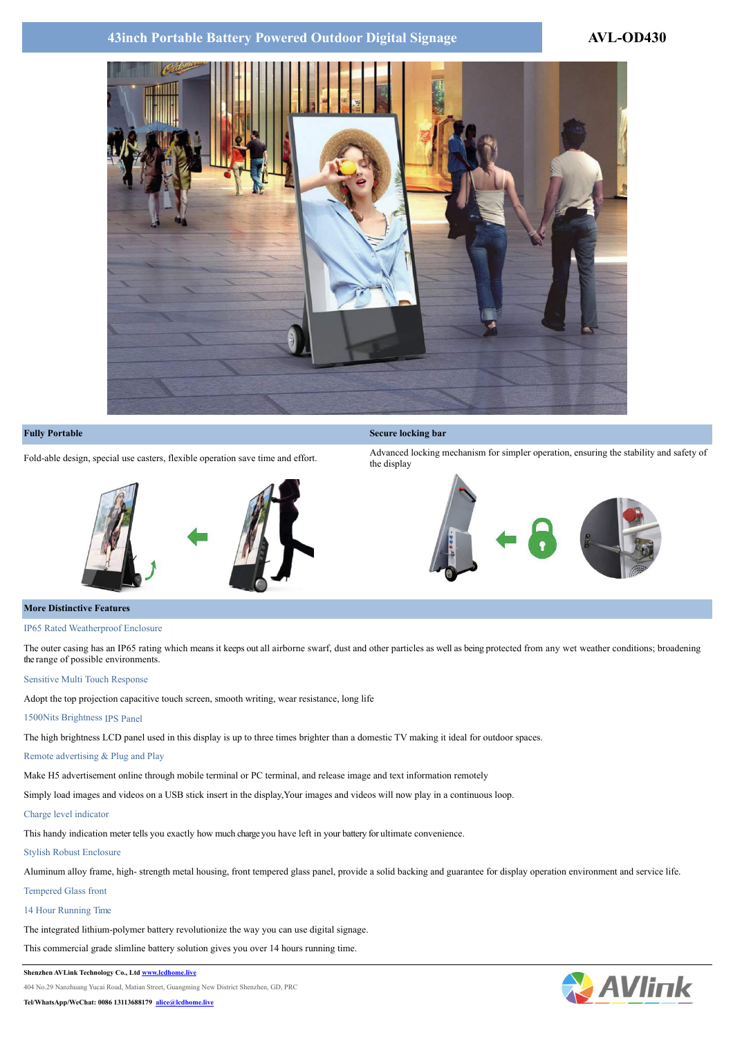# **43inch Portable Battery Powered Outdoor Digital Signage 43inch Portable Battery Powered Outdoor Digital Signage**





#### **Fully Portable Secure locking bar Secure locking bar Secure locking bar Secure locking bar**

Fold-able design, special use casters, flexible operation save time and effort.<br>
Advanced locking mechanism for simpler operation, ensuring the stability and safety of the display





#### **More Distinctive Features**

#### IP65 Rated Weatherproof Enclosure

The outer casing has an IP65 rating which means it keeps out all airborne swarf, dust and other particles as well as being protected from any wet weather conditions; broadening the range of possible environments.

#### Sensitive Multi Touch Response

Adopt the top projection capacitive touch screen, smooth writing, wear resistance, long life

# 1500Nits Brightness IPS Panel

The high brightness LCD panel used in this display is up to three times brighter than a domestic TV making it ideal for outdoor spaces.

## Remote advertising & Plug and Play

Make H5 advertisement online through mobile terminal or PC terminal, and release image and text information remotely

Simply load images and videos on a USB stick insert in the display,Your images and videos will now play in a continuous loop.

## Charge level indicator

This handy indication meter tells you exactly how much charge you have left in your battery for ultimate convenience.

## Stylish Robust Enclosure

Aluminum alloy frame, high- strength metal housing, front tempered glass panel, provide a solid backing and guarantee for display operation environment and service life. Tempered Glass front

# 14 Hour Running Time

The integrated lithium-polymer battery revolutionize the way you can use digital signage.

This commercial grade slimline battery solution gives you over 14 hours running time.

#### **Shenzhen AVLink Technology Co., Ltd [www.lcdhome.live](http://www.lcdhome.live)**

404 No.29 Nanzhuang Yucai Road, Matian Street, Guangming New District Shenzhen, GD, PRC

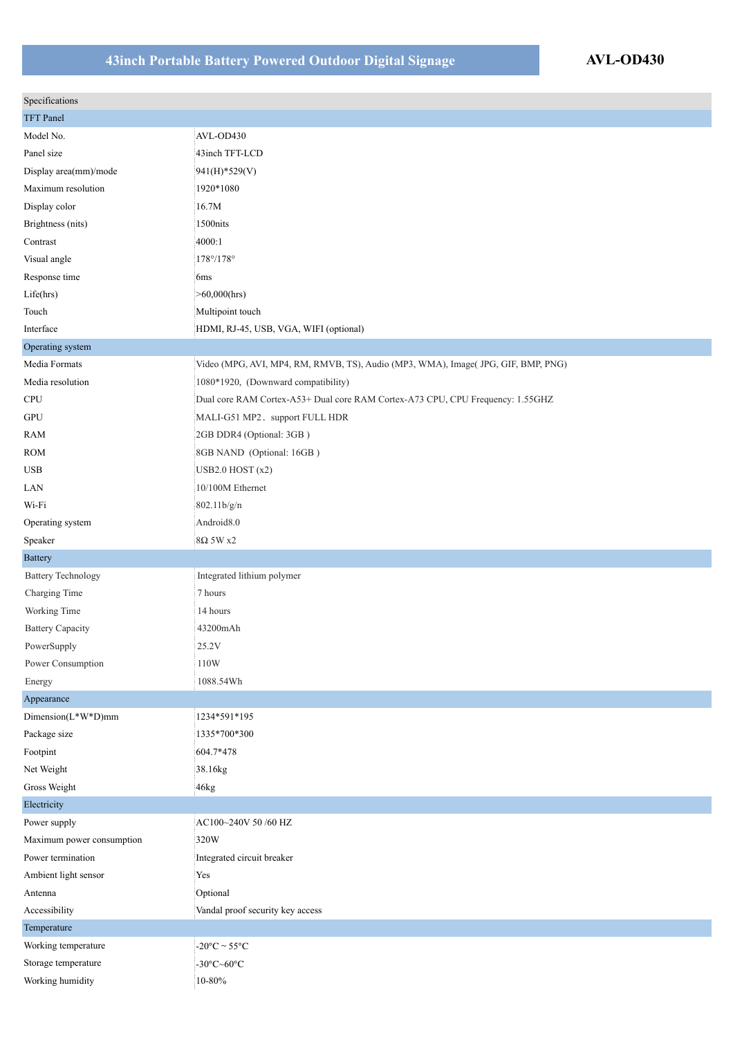# **43inch Portable Battery Powered Outdoor Digital Signage AVL-OD430**

| Specifications            |                                                                                  |
|---------------------------|----------------------------------------------------------------------------------|
| <b>TFT</b> Panel          |                                                                                  |
| Model No.                 | AVL-OD430                                                                        |
| Panel size                | 43inch TFT-LCD                                                                   |
| Display $area(mm)/mode$   | $941(H)$ *529(V)                                                                 |
| Maximum resolution        | 1920*1080                                                                        |
| Display color             | 16.7M                                                                            |
| Brightness (nits)         | 1500nits                                                                         |
| Contrast                  | 4000:1                                                                           |
| Visual angle              | $178^{\circ}/178^{\circ}$                                                        |
| Response time             | 6ms                                                                              |
| Life(hrs)                 | $>60,000$ (hrs)                                                                  |
| Touch                     | Multipoint touch                                                                 |
| Interface                 | HDMI, RJ-45, USB, VGA, WIFI (optional)                                           |
| Operating system          |                                                                                  |
| Media Formats             | Video (MPG, AVI, MP4, RM, RMVB, TS), Audio (MP3, WMA), Image(JPG, GIF, BMP, PNG) |
| Media resolution          | 1080*1920, (Downward compatibility)                                              |
| CPU                       | Dual core RAM Cortex-A53+ Dual core RAM Cortex-A73 CPU, CPU Frequency: 1.55GHZ   |
| <b>GPU</b>                | MALI-G51 MP2, support FULL HDR                                                   |
| <b>RAM</b>                | 2GB DDR4 (Optional: 3GB)                                                         |
| <b>ROM</b>                | 8GB NAND (Optional: 16GB)                                                        |
| <b>USB</b>                | USB2.0 HOST $(x2)$                                                               |
| LAN                       | 10/100M Ethernet                                                                 |
| Wi-Fi                     | 802.11b/g/n                                                                      |
| Operating system          | Android <sub>8.0</sub>                                                           |
| Speaker                   | $8\Omega$ 5W x2                                                                  |
| <b>Battery</b>            |                                                                                  |
| <b>Battery Technology</b> | Integrated lithium polymer                                                       |
| <b>Charging Time</b>      | 7 hours                                                                          |
| Working Time              | 14 hours                                                                         |
| <b>Battery Capacity</b>   | 43200mAh                                                                         |
| PowerSupply               | 25.2V                                                                            |
| Power Consumption         | 110W                                                                             |
| Energy                    | 1088.54Wh                                                                        |
| Appearance                |                                                                                  |
| Dimension $(L^*W^*D)$ mm  | 1234*591*195                                                                     |
| Package size              | 1335*700*300                                                                     |
| Footpint                  | 604.7*478                                                                        |
| Net Weight                | 38.16kg                                                                          |
| Gross Weight              | 46kg                                                                             |
| Electricity               |                                                                                  |
| Power supply              | AC100~240V 50 /60 HZ                                                             |
| Maximum power consumption | 320W                                                                             |
| Power termination         | Integrated circuit breaker                                                       |
| Ambient light sensor      | Yes                                                                              |
| Antenna                   | Optional                                                                         |
| Accessibility             | Vandal proof security key access                                                 |
| Temperature               |                                                                                  |
| Working temperature       | $-20\text{°C} \sim 55\text{°C}$                                                  |
| Storage temperature       | -30 $\textdegree$ C $\sim$ 60 $\textdegree$ C                                    |
| Working humidity          | $10 - 80\%$                                                                      |